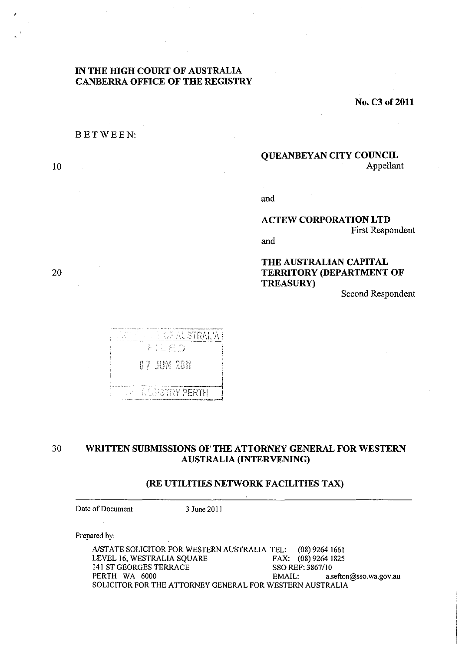# **IN THE HIGH COURT OF AUSTRALIA CANBERRA OFFICE OF THE REGISTRY**

**No. C3 of 2011** 

#### BETWEEN:

10

20

# **QUEANBEYAN CITY COUNCIL**  Appellant

and

# **ACTEW CORPORATION LTD**  First Respondent

and

# **THE AUSTRALIAN CAPITAL TERRITORY (DEPARTMENT OF TREASURy)**

Second Respondent



# 30 **WRITTEN SUBMISSIONS OF THE ATTORNEY GENERAL FOR WESTERN AUSTRALIA (INTERVENING)**

#### **(RE UTILITIES NETWORK FACILITIES TAX)**

Date of Document 3 June 2011

Prepared by:

A/STATE SOLICITOR FOR WESTERN AUSTRALIA TEL: (08) 9264 1661<br>LEVEL 16, WESTRALIA SQUARE FAX: (08) 9264 1825 LEVEL 16, WESTRALIA SQUARE 141 ST GEORGES TERRACE SSO REF: *3867/10*  EMAIL: a.sefton@sso.wa.gov.au SOLICITOR FOR THE ATTORNEY GENERAL FOR WESTERN AUSTRALIA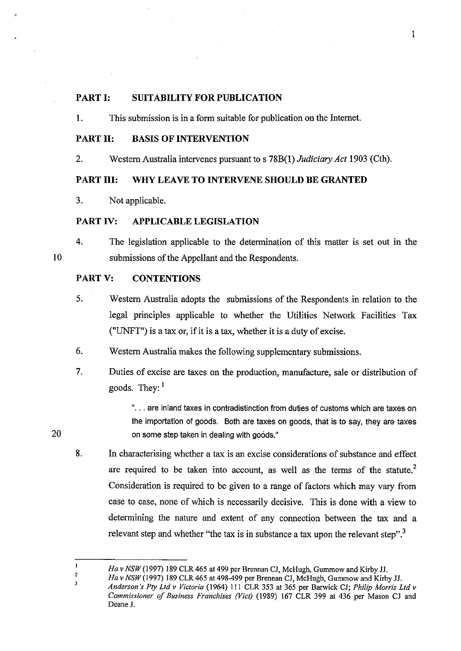#### PART I: **SUITABILITY FOR PUBLICATION**

1. This submission is in a form suitable for publication on the Internet.

## **PARTII: BASIS OF INTERVENTION**

2. Western Australia intervenes pursuant to s 78B(l) *Judiciary Act* 1903 (Cth).

# **PART I1I: WHY LEAVE TO INTERVENE SHOULD BE GRANTED**

3. Not applicable.

## PART IV: **APPLICABLE LEGISLATION**

4. The legislation applicable to the determination of this matter is set out in the submissions of the Appellant and the Respondents.

#### PART V: **CONTENTIONS**

- 5. Western Australia adopts the submissions of the Respondents in relation to the legal principles applicable to whether the Utilities Network Facilities Tax ("UNFT") is a tax or, if it is a tax, whether it is a duty of excise.
- 6. Western Australia makes the following supplementary submissions.
- 7. Duties of excise are taxes on the production, manufacture, sale or distribution of goods. They:  $1$

"... are inland taxes in contradistinction from duties of customs which are taxes on the importation of goods. Both are taxes on goods, that is to say, they are taxes on some step taken in dealing with goods."

8. In characterising whether a tax is an excise considerations of substance and effect are required to be taken into account, as well as the terms of the statute.<sup>2</sup> Consideration is required to be given to a range of factors which may vary from case to case, none of which is necessarily decisive. This is done with a view to determining the nature and extent of any connection between the tax and a relevant step and whether "the tax is in substance a tax upon the relevant step".<sup>3</sup>

20

3

10

 $\mathbf{I}$ *Ha v NSW* (1997) 189 CLR 465 at 499 per Brennan CJ, McHugh, Gummow and Kirby JJ. 2

Ha v NSW (1997) 189 CLR 465 at 498-499 per Brennan CJ, McHugh, Gummow and Kirby JJ.

*Anderson's Ply Ltd* v *Victoria* (1964) III CLR 353 at 365 per Barwick *Cl; Philip Morris Ltd* v *Commissioner of Business Franchises (Vicl)* (1989) 167 CLR 399 at 436 per Mason *Cl* and Deane J.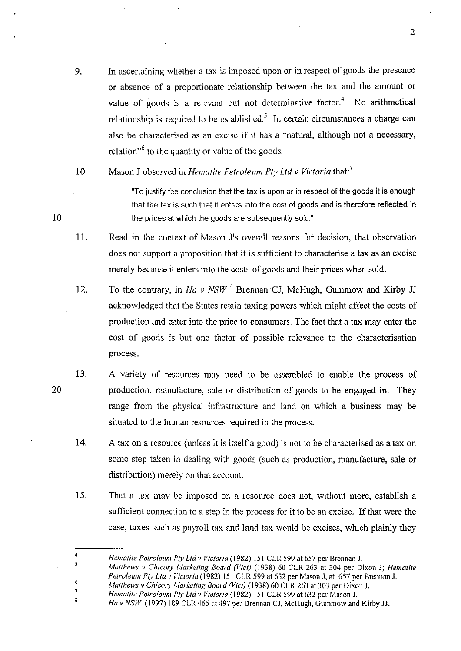- 9. In ascertaining whether a tax is imposed upon or in respect of goods the presence or absence of a proportionate relationship between the tax and the amount or value of goods is a relevant but not determinative factor.<sup>4</sup> No arithmetical relationship is required to be established.<sup>5</sup> In certain circumstances a charge can also be characterised as an excise if it has a "natural, although not a necessary, relation<sup> $,6$ </sup> to the quantity or value of the goods.
- 10. Mason J observed in *Hematile Pelroleum Ply Lld* v *Victoria* that: 7

"To justify the conclusion that the tax is upon or in respect of the goods it is enough that the tax is such that it enters into the cost of goods and is therefore reflected in the prices at which the goods are subsequently sold."

- **11.**  Read in the context of Mason J's overall reasons for decision, that observation does not support a proposition that it is sufficient to characterise a tax as an excise merely because it enters into the costs of goods and their prices when sold.
- 12. To the contrary, in *Ha v NSW* 8 Brennan CJ, McHugh, Gummow and Kirby JJ acknowledged that the States retain taxing powers which might affect the costs of production and enter into the price to consumers. The fact that a tax may enter the cost of goods is but one factor of possible relevance to the characterisation process.
- 13. A variety of resources may need to be assembled to enable the process of production, manufacture, sale or distribution of goods to be engaged in. They range from the physical infrastructure and land on which a business may be situated to the human resources required in the process.
	- 14. A tax on a resource (unless it is itself a good) is not to be characterised as a tax on some step taken in dealing with goods (such as production, manufacture, sale or distribution) merely on that account.
	- 15. That a tax may be imposed on a resource does not, without more, establish a sufficient connection to a step in the process for it to be an excise. If that were the case, taxes such as payroll tax and land tax would be excises, which plainly they

*Matthews* v *ChicOlY Marketing Board (Vier)* (1938) 60 CLR 263 at 303 per Dixon J.

10

20

4

7

*Hematite Petroleum Ply Ltd v Victoria* (1982) 151 CLR 599 at 657 per Brcnnan J.

<sup>5</sup>  6 *Matthews v ChicOiY Marketing Board (Viet)* (1938) 60 CLR 263 at 304 per Dixon J; *Hematite Petroleum Pty Lld v Victoria* (1982) 151 CLR 599 at 632 per Mason J, at 657 per Brennan J.

*Hematite Petroleum Pty Lld" Victoria* (1982) 151 CLR 599 at 632 per Mason J.

<sup>,</sup>  Ha v NSW (1997) 189 CLR 465 at 497 per Brennan CJ, McHugh, Gummow and Kirby JJ.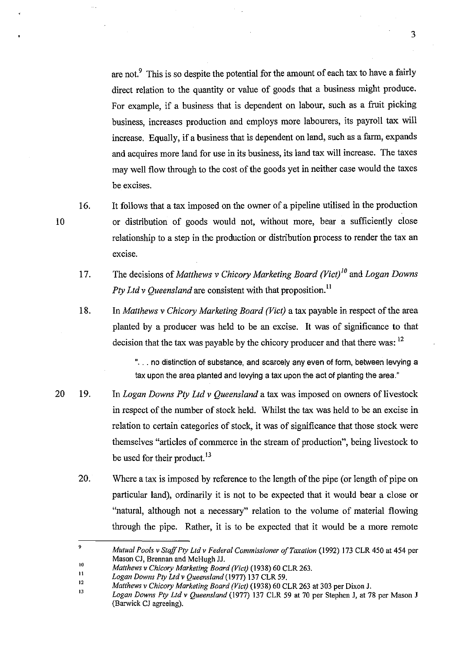are not. $\frac{9}{1}$  This is so despite the potential for the amount of each tax to have a fairly direct relation to the quantity or value of goods that a business might produce. For example, if a business that is dependent on labour, such as a fruit picking business, increases production and employs more labourers, its payroll tax will increase. Equally, if a business that is dependent on land, such as a farm, expands and acquires more land for use in its business, its land tax will increase. The taxes may well flow through to the cost of the goods yet in neither case would the taxes be excises.

16.

10

- It follows that a tax imposed on the owner of a pipeline utilised in the production or distribution of goods would not, without more, bear a sufficiently close relationship to a step in the production or distribution process to render the tax an excise.
- 17. The decisions of *Matthews* v *Chicory Marketing Board (Vict)'o* and *Logan Downs Pty Ltd v Oueensland* are consistent with that proposition.<sup>11</sup>

18. In *Matthews* v *Chicory Marketing Board (Vict)* a tax payable in respect of the area planted by a producer was held to be an excise. It was of significance to that decision that the tax was payable by the chicory producer and that there was: <sup>12</sup>

> "... no distinction of substance, and scarcely any even of form, between levying a tax upon the area planted and levying a tax upon the act of planting the area."

- 20 19. In *Logan Downs Ply Ltd* v *Queensland* a tax was imposed on owners of livestock in respect of the number of stock held. Whilst the tax was held to be an excise in relation to certain categories of stock, it was of significance that those stock were themselves "articles of commerce in the stream of production", being livestock to be used for their product.<sup>13</sup>
	- 20. Where a tax is imposed by reference to the length of the pipe (or length of pipe on particular land), ordinarily it is not to be expected that it would bear a close or "natural, although not a necessary" relation to the volume of material flowing through the pipe. Rather, it is to be expected that it would be a more remote

<sup>9</sup>  10 *Mutual Pools* v *Staff Ply Lld* v *Federal Commissioner o/Taxation* (1992) 173 CLR 450 at 454 per Mason Cl, Brennan and McHugh ll.

*Matthews* v *Chicory Marketing Board (Viet)* (1938) 60 CLR 263.

<sup>11</sup>  *Logan Downs Ply Lld* v *Queensland* (1977) 137 CLR 59.

<sup>12</sup>  *Matthews* v *Chicory Marketing Board (Viel)* (1938) 60 CLR263 at 303 per Dixon l.

<sup>13</sup>  *Logan Downs Ply Lld* v *Queensland* (1977) 137 CLR 59 at 70 per Stephen l, at 78 per Mason J (Barwick Cl agreeing).